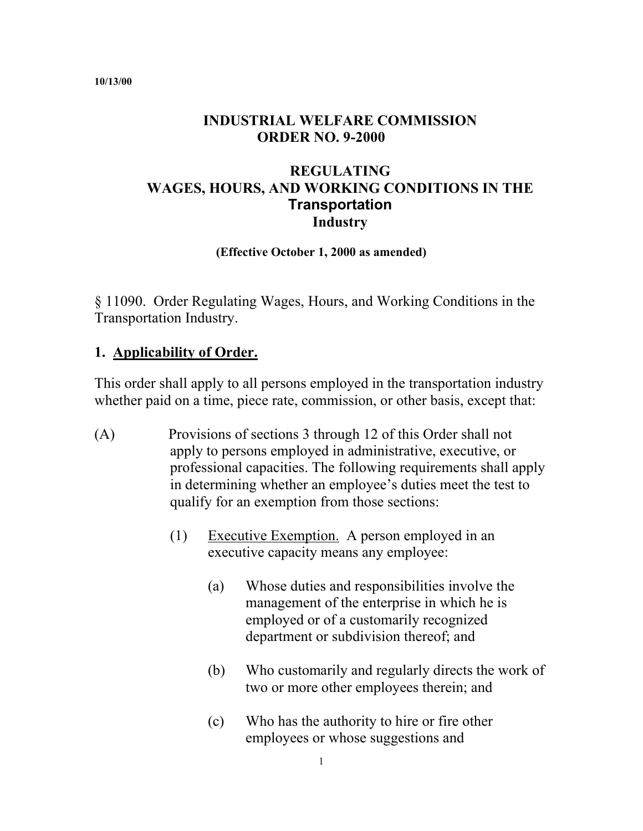#### **10/13/00**

#### **INDUSTRIAL WELFARE COMMISSION ORDER NO. 9-2000**

#### **REGULATING WAGES, HOURS, AND WORKING CONDITIONS IN THE Transportation Industry**

**(Effective October 1, 2000 as amended)** 

§ 11090. Order Regulating Wages, Hours, and Working Conditions in the Transportation Industry.

#### **1. Applicability of Order.**

This order shall apply to all persons employed in the transportation industry whether paid on a time, piece rate, commission, or other basis, except that:

- (A) Provisions of sections 3 through 12 of this Order shall not apply to persons employed in administrative, executive, or professional capacities. The following requirements shall apply in determining whether an employee's duties meet the test to qualify for an exemption from those sections:
	- (1) Executive Exemption. A person employed in an executive capacity means any employee:
		- (a) Whose duties and responsibilities involve the management of the enterprise in which he is employed or of a customarily recognized department or subdivision thereof; and
		- (b) Who customarily and regularly directs the work of two or more other employees therein; and
		- (c) Who has the authority to hire or fire other employees or whose suggestions and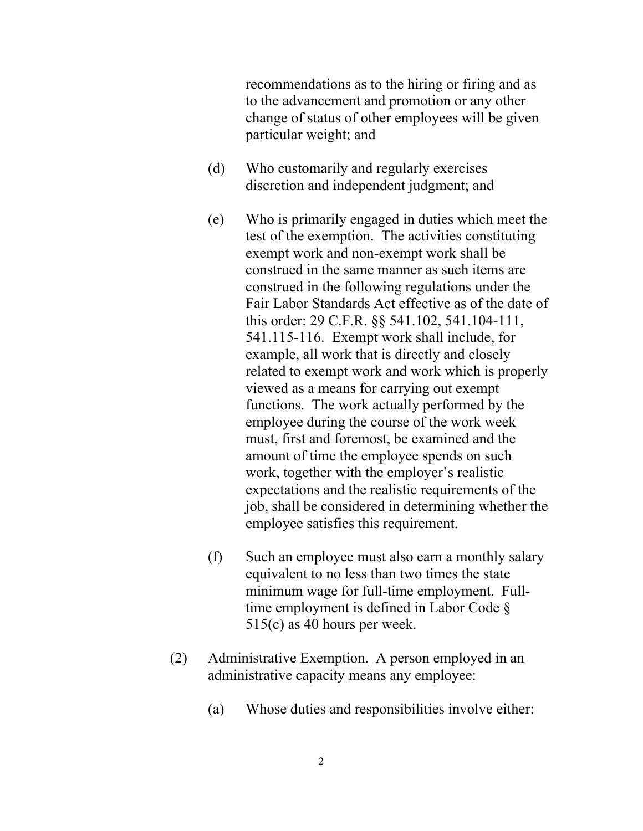recommendations as to the hiring or firing and as to the advancement and promotion or any other change of status of other employees will be given particular weight; and

- (d) Who customarily and regularly exercises discretion and independent judgment; and
- (e) Who is primarily engaged in duties which meet the test of the exemption. The activities constituting exempt work and non-exempt work shall be construed in the same manner as such items are construed in the following regulations under the Fair Labor Standards Act effective as of the date of this order: 29 C.F.R. §§ 541.102, 541.104-111, 541.115-116. Exempt work shall include, for example, all work that is directly and closely related to exempt work and work which is properly viewed as a means for carrying out exempt functions. The work actually performed by the employee during the course of the work week must, first and foremost, be examined and the amount of time the employee spends on such work, together with the employer's realistic expectations and the realistic requirements of the job, shall be considered in determining whether the employee satisfies this requirement.
- (f) Such an employee must also earn a monthly salary equivalent to no less than two times the state minimum wage for full-time employment. Fulltime employment is defined in Labor Code § 515(c) as 40 hours per week.
- (2) Administrative Exemption. A person employed in an administrative capacity means any employee:
	- (a) Whose duties and responsibilities involve either: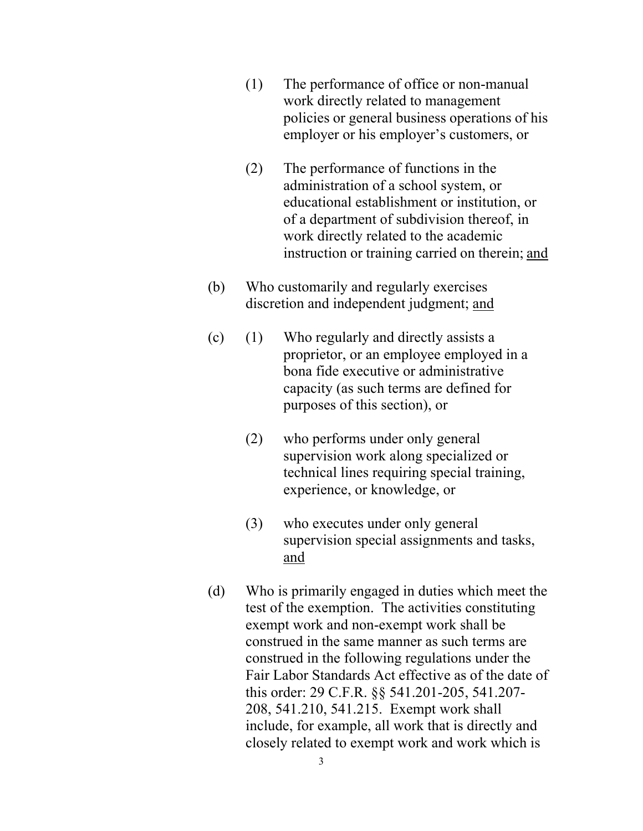- (1) The performance of office or non-manual work directly related to management policies or general business operations of his employer or his employer's customers, or
- (2) The performance of functions in the administration of a school system, or educational establishment or institution, or of a department of subdivision thereof, in work directly related to the academic instruction or training carried on therein; and
- (b) Who customarily and regularly exercises discretion and independent judgment; and
- (c) (1) Who regularly and directly assists a proprietor, or an employee employed in a bona fide executive or administrative capacity (as such terms are defined for purposes of this section), or
	- (2) who performs under only general supervision work along specialized or technical lines requiring special training, experience, or knowledge, or
	- (3) who executes under only general supervision special assignments and tasks, and
- (d) Who is primarily engaged in duties which meet the test of the exemption. The activities constituting exempt work and non-exempt work shall be construed in the same manner as such terms are construed in the following regulations under the Fair Labor Standards Act effective as of the date of this order: 29 C.F.R. §§ 541.201-205, 541.207 208, 541.210, 541.215. Exempt work shall include, for example, all work that is directly and closely related to exempt work and work which is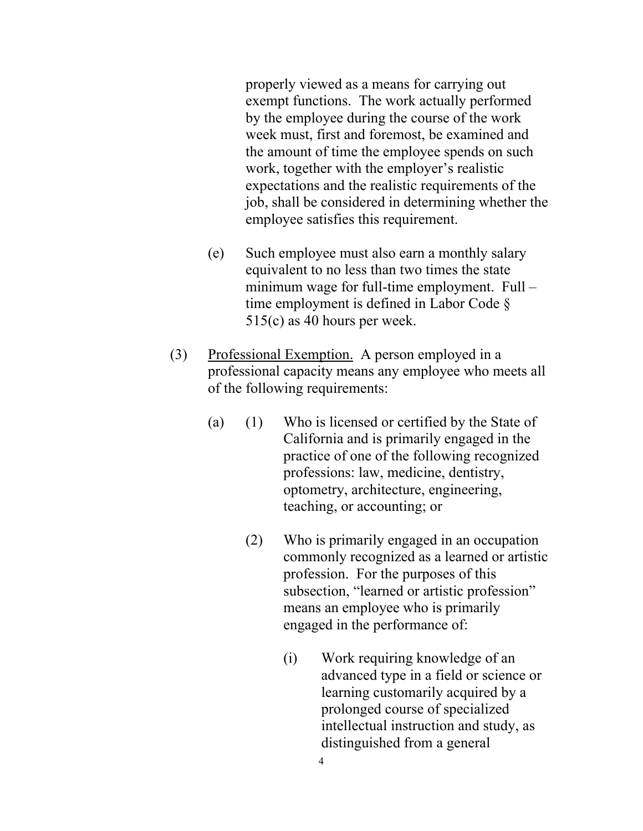properly viewed as a means for carrying out exempt functions. The work actually performed by the employee during the course of the work week must, first and foremost, be examined and the amount of time the employee spends on such work, together with the employer's realistic expectations and the realistic requirements of the job, shall be considered in determining whether the employee satisfies this requirement.

- (e) Such employee must also earn a monthly salary equivalent to no less than two times the state minimum wage for full-time employment. Full – time employment is defined in Labor Code § 515(c) as 40 hours per week.
- (3) Professional Exemption. A person employed in a professional capacity means any employee who meets all of the following requirements:
	- (a) (1) Who is licensed or certified by the State of California and is primarily engaged in the practice of one of the following recognized professions: law, medicine, dentistry, optometry, architecture, engineering, teaching, or accounting; or
		- (2) Who is primarily engaged in an occupation commonly recognized as a learned or artistic profession. For the purposes of this subsection, "learned or artistic profession" means an employee who is primarily engaged in the performance of:
			- (i) Work requiring knowledge of an advanced type in a field or science or learning customarily acquired by a prolonged course of specialized intellectual instruction and study, as distinguished from a general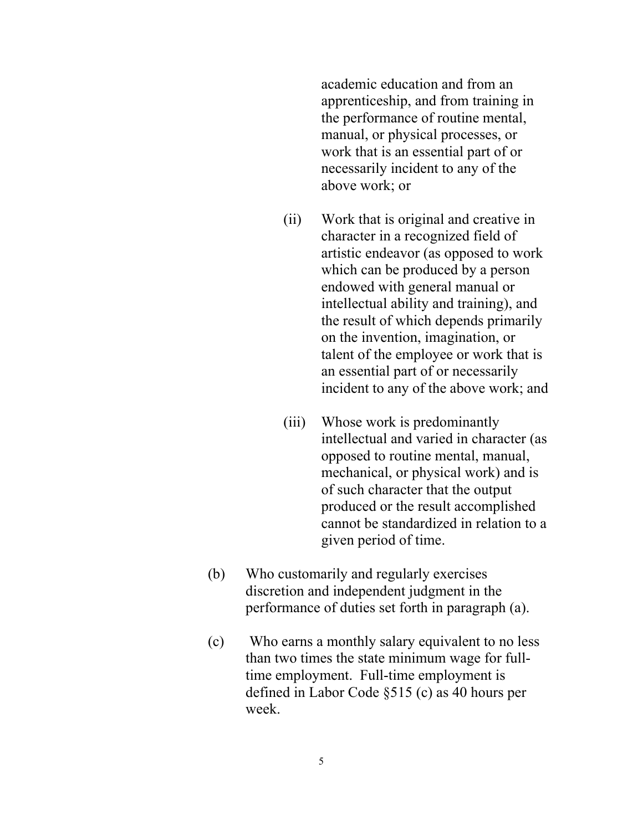academic education and from an apprenticeship, and from training in the performance of routine mental, manual, or physical processes, or work that is an essential part of or necessarily incident to any of the above work; or

- (ii) Work that is original and creative in character in a recognized field of artistic endeavor (as opposed to work which can be produced by a person endowed with general manual or intellectual ability and training), and the result of which depends primarily on the invention, imagination, or talent of the employee or work that is an essential part of or necessarily incident to any of the above work; and
- (iii) Whose work is predominantly intellectual and varied in character (as opposed to routine mental, manual, mechanical, or physical work) and is of such character that the output produced or the result accomplished cannot be standardized in relation to a given period of time.
- (b) Who customarily and regularly exercises discretion and independent judgment in the performance of duties set forth in paragraph (a).
- (c) Who earns a monthly salary equivalent to no less than two times the state minimum wage for fulltime employment. Full-time employment is defined in Labor Code §515 (c) as 40 hours per week.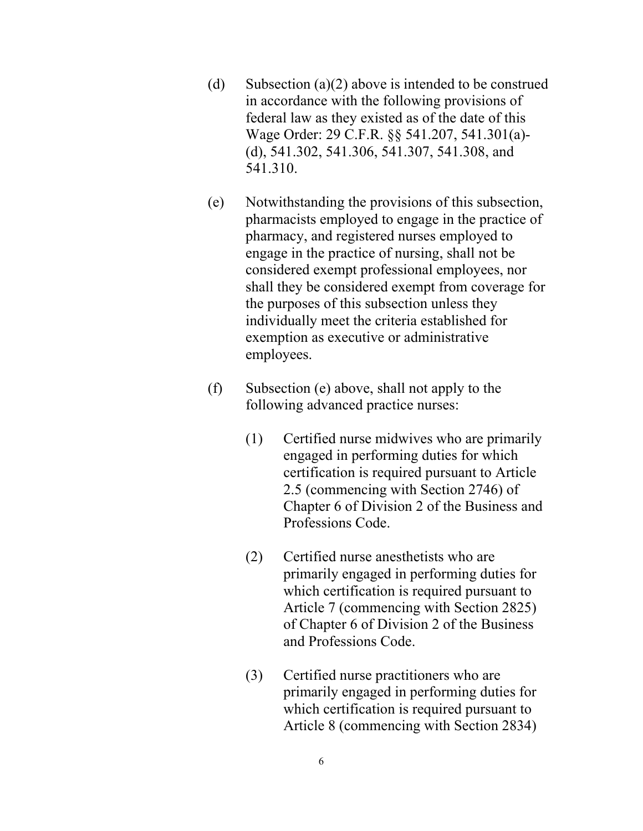- (d) Subsection  $(a)(2)$  above is intended to be construed in accordance with the following provisions of federal law as they existed as of the date of this Wage Order: 29 C.F.R. §§ 541.207, 541.301(a) (d), 541.302, 541.306, 541.307, 541.308, and 541.310.
- (e) Notwithstanding the provisions of this subsection, pharmacists employed to engage in the practice of pharmacy, and registered nurses employed to engage in the practice of nursing, shall not be considered exempt professional employees, nor shall they be considered exempt from coverage for the purposes of this subsection unless they individually meet the criteria established for exemption as executive or administrative employees.
- $(f)$  Subsection (e) above, shall not apply to the following advanced practice nurses:
	- (1) Certified nurse midwives who are primarily engaged in performing duties for which certification is required pursuant to Article 2.5 (commencing with Section 2746) of Chapter 6 of Division 2 of the Business and Professions Code.
	- (2) Certified nurse anesthetists who are primarily engaged in performing duties for which certification is required pursuant to Article 7 (commencing with Section 2825) of Chapter 6 of Division 2 of the Business and Professions Code.
	- (3) Certified nurse practitioners who are primarily engaged in performing duties for which certification is required pursuant to Article 8 (commencing with Section 2834)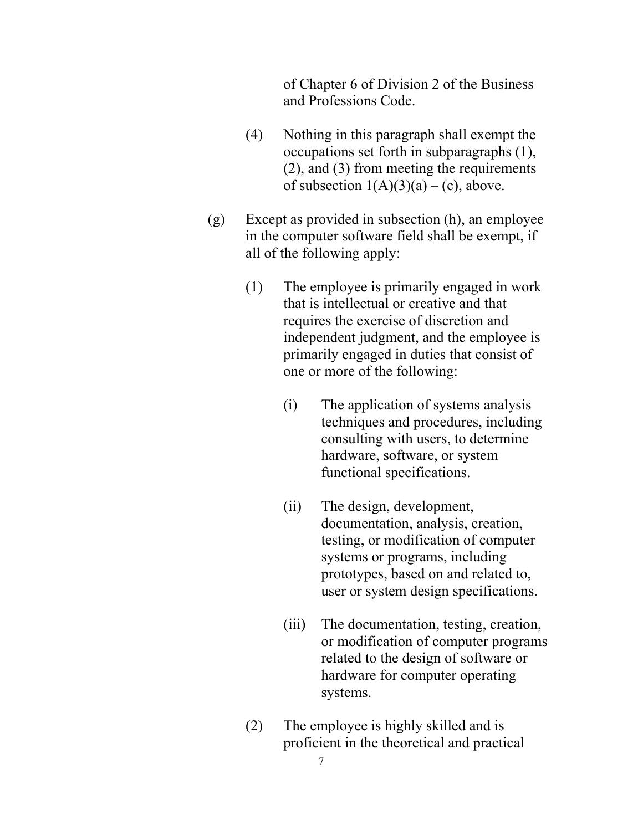of Chapter 6 of Division 2 of the Business and Professions Code.

- (4) Nothing in this paragraph shall exempt the occupations set forth in subparagraphs (1), (2), and (3) from meeting the requirements of subsection  $1(A)(3)(a) - (c)$ , above.
- (g) Except as provided in subsection (h), an employee in the computer software field shall be exempt, if all of the following apply:
	- (1) The employee is primarily engaged in work that is intellectual or creative and that requires the exercise of discretion and independent judgment, and the employee is primarily engaged in duties that consist of one or more of the following:
		- (i) The application of systems analysis techniques and procedures, including consulting with users, to determine hardware, software, or system functional specifications.
		- (ii) The design, development, documentation, analysis, creation, testing, or modification of computer systems or programs, including prototypes, based on and related to, user or system design specifications.
		- (iii) The documentation, testing, creation, or modification of computer programs related to the design of software or hardware for computer operating systems.
	- (2) The employee is highly skilled and is proficient in the theoretical and practical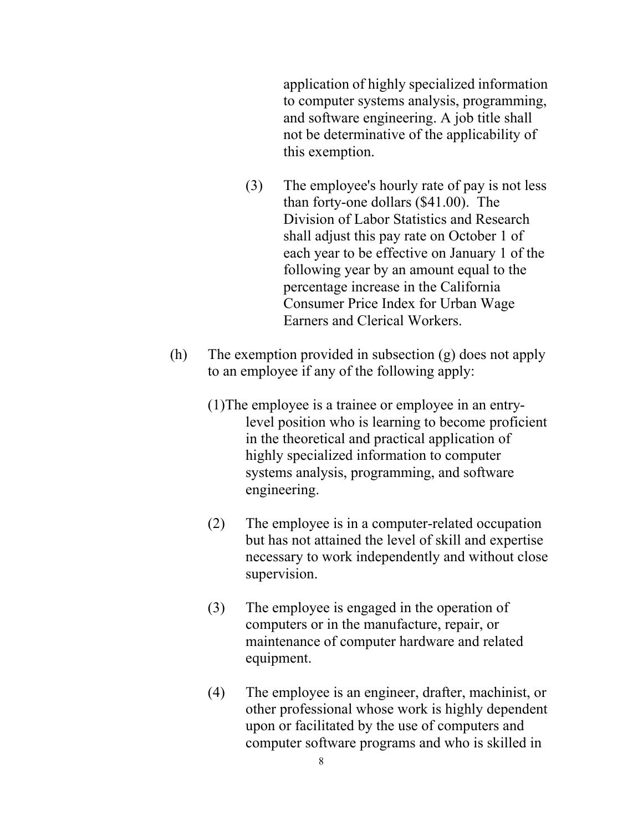application of highly specialized information to computer systems analysis, programming, and software engineering. A job title shall not be determinative of the applicability of this exemption.

- (3) The employee's hourly rate of pay is not less than forty-one dollars (\$41.00). The Division of Labor Statistics and Research shall adjust this pay rate on October 1 of each year to be effective on January 1 of the following year by an amount equal to the percentage increase in the California Consumer Price Index for Urban Wage Earners and Clerical Workers.
- (h) The exemption provided in subsection  $(g)$  does not apply to an employee if any of the following apply:
	- (1)The employee is a trainee or employee in an entrylevel position who is learning to become proficient in the theoretical and practical application of highly specialized information to computer systems analysis, programming, and software engineering.
	- (2) The employee is in a computer-related occupation but has not attained the level of skill and expertise necessary to work independently and without close supervision.
	- (3) The employee is engaged in the operation of computers or in the manufacture, repair, or maintenance of computer hardware and related equipment.
	- (4) The employee is an engineer, drafter, machinist, or other professional whose work is highly dependent upon or facilitated by the use of computers and computer software programs and who is skilled in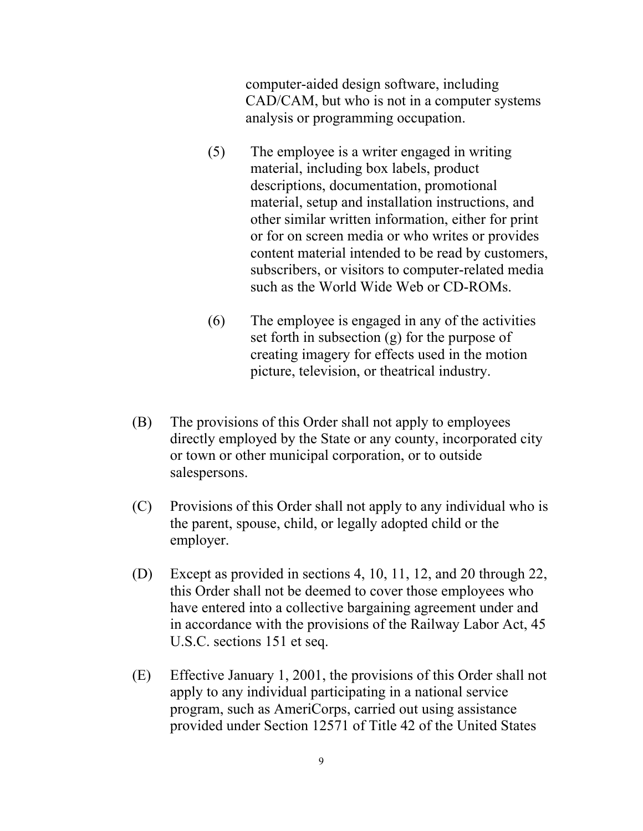computer-aided design software, including CAD/CAM, but who is not in a computer systems analysis or programming occupation.

- (5) The employee is a writer engaged in writing material, including box labels, product descriptions, documentation, promotional material, setup and installation instructions, and other similar written information, either for print or for on screen media or who writes or provides content material intended to be read by customers, subscribers, or visitors to computer-related media such as the World Wide Web or CD-ROMs.
- $(6)$  The employee is engaged in any of the activities set forth in subsection (g) for the purpose of creating imagery for effects used in the motion picture, television, or theatrical industry.
- (B) The provisions of this Order shall not apply to employees directly employed by the State or any county, incorporated city or town or other municipal corporation, or to outside salespersons.
- (C) Provisions of this Order shall not apply to any individual who is the parent, spouse, child, or legally adopted child or the employer.
- (D) Except as provided in sections 4, 10, 11, 12, and 20 through 22, this Order shall not be deemed to cover those employees who have entered into a collective bargaining agreement under and in accordance with the provisions of the Railway Labor Act, 45 U.S.C. sections 151 et seq.
- (E) Effective January 1, 2001, the provisions of this Order shall not apply to any individual participating in a national service program, such as AmeriCorps, carried out using assistance provided under Section 12571 of Title 42 of the United States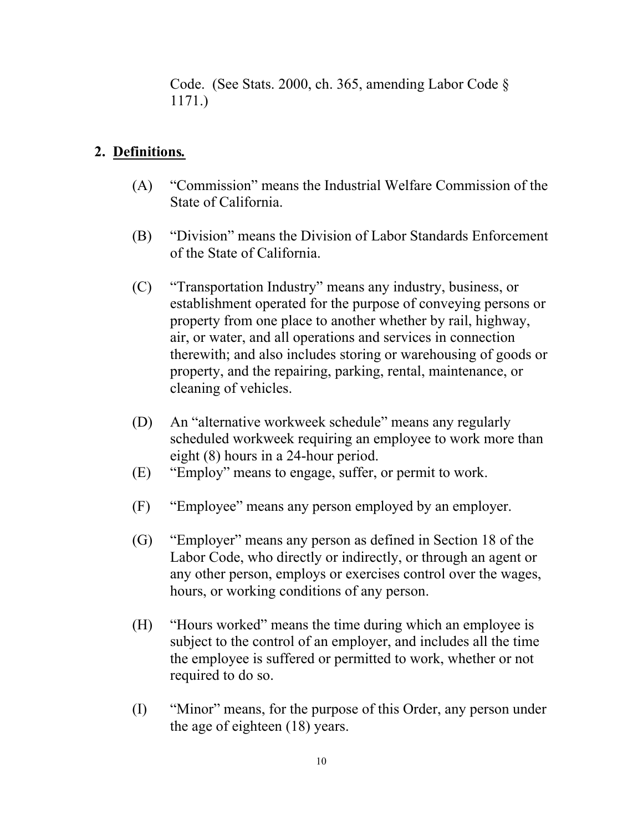Code. (See Stats. 2000, ch. 365, amending Labor Code § 1171.)

#### **2. Definitions***.*

- (A) "Commission" means the Industrial Welfare Commission of the State of California.
- (B) "Division" means the Division of Labor Standards Enforcement of the State of California.
- (C) "Transportation Industry" means any industry, business, or establishment operated for the purpose of conveying persons or property from one place to another whether by rail, highway, air, or water, and all operations and services in connection therewith; and also includes storing or warehousing of goods or property, and the repairing, parking, rental, maintenance, or cleaning of vehicles.
- (D) An "alternative workweek schedule" means any regularly scheduled workweek requiring an employee to work more than eight (8) hours in a 24-hour period.
- (E) "Employ" means to engage, suffer, or permit to work.
- $(F)$ "Employee" means any person employed by an employer.
- (G) "Employer" means any person as defined in Section 18 of the Labor Code, who directly or indirectly, or through an agent or any other person, employs or exercises control over the wages, hours, or working conditions of any person.
- (H) "Hours worked" means the time during which an employee is subject to the control of an employer, and includes all the time the employee is suffered or permitted to work, whether or not required to do so.
- (I) "Minor" means, for the purpose of this Order, any person under the age of eighteen (18) years.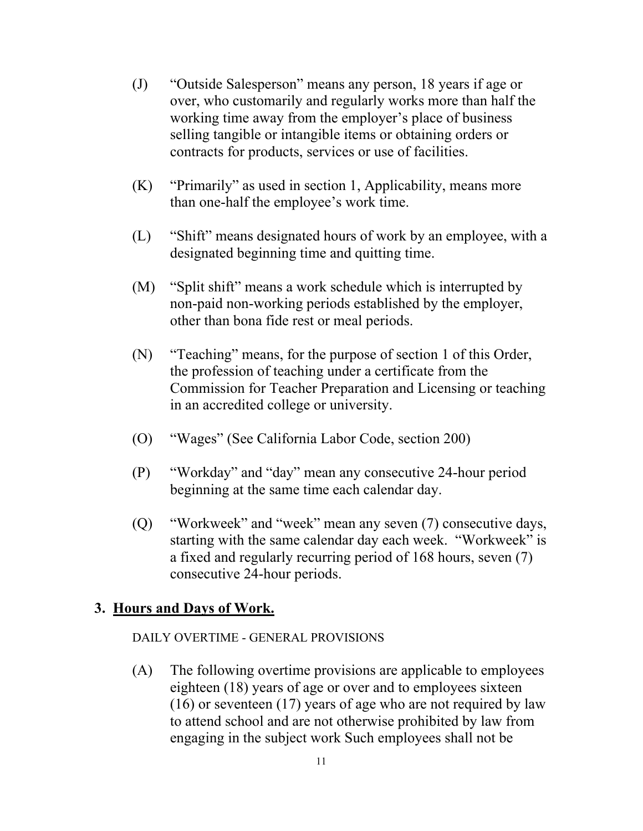- (J) "Outside Salesperson" means any person, 18 years if age or over, who customarily and regularly works more than half the working time away from the employer's place of business selling tangible or intangible items or obtaining orders or contracts for products, services or use of facilities.
- $(K)$  "Primarily" as used in section 1, Applicability, means more than one-half the employee's work time.
- (L) "Shift" means designated hours of work by an employee, with a designated beginning time and quitting time.
- (M) "Split shift" means a work schedule which is interrupted by non-paid non-working periods established by the employer, other than bona fide rest or meal periods.
- (N) "Teaching" means, for the purpose of section 1 of this Order, the profession of teaching under a certificate from the Commission for Teacher Preparation and Licensing or teaching in an accredited college or university.
- $(0)$ "Wages" (See California Labor Code, section 200)
- (P) "Workday" and "day" mean any consecutive 24-hour period beginning at the same time each calendar day.
- (Q) "Workweek" and "week" mean any seven (7) consecutive days, starting with the same calendar day each week. "Workweek" is a fixed and regularly recurring period of 168 hours, seven (7) consecutive 24-hour periods.

#### **3. Hours and Days of Work.**

#### DAILY OVERTIME - GENERAL PROVISIONS

(A) The following overtime provisions are applicable to employees eighteen (18) years of age or over and to employees sixteen (16) or seventeen (17) years of age who are not required by law to attend school and are not otherwise prohibited by law from engaging in the subject work Such employees shall not be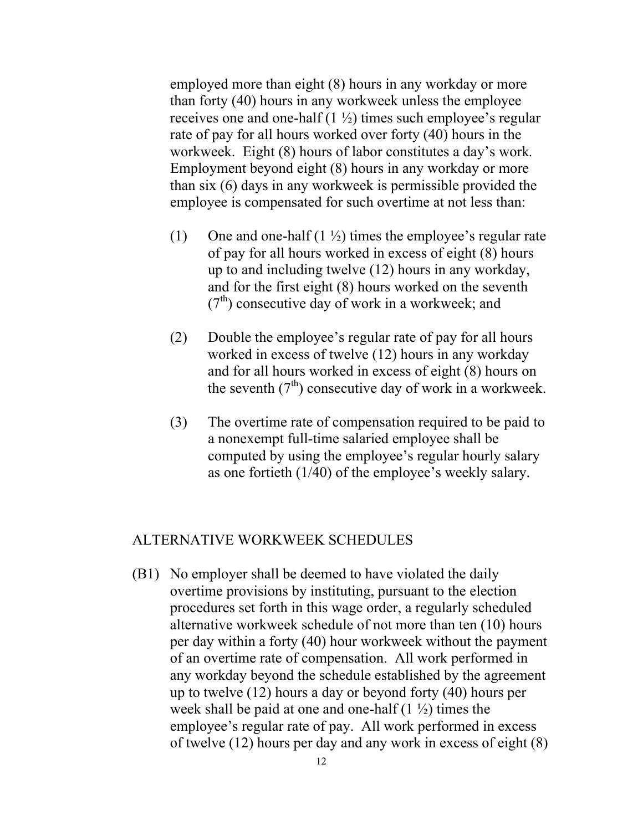employed more than eight (8) hours in any workday or more than forty (40) hours in any workweek unless the employee receives one and one-half  $(1 \frac{1}{2})$  times such employee's regular rate of pay for all hours worked over forty (40) hours in the workweek. Eight (8) hours of labor constitutes a day's work*.*  Employment beyond eight (8) hours in any workday or more than six (6) days in any workweek is permissible provided the employee is compensated for such overtime at not less than:

- (1) One and one-half  $(1 \frac{1}{2})$  times the employee's regular rate of pay for all hours worked in excess of eight (8) hours up to and including twelve (12) hours in any workday, and for the first eight (8) hours worked on the seventh  $(7<sup>th</sup>)$  consecutive day of work in a workweek; and
- (2) Double the employee's regular rate of pay for all hours worked in excess of twelve (12) hours in any workday and for all hours worked in excess of eight (8) hours on the seventh  $(7<sup>th</sup>)$  consecutive day of work in a workweek.
- (3) The overtime rate of compensation required to be paid to a nonexempt full-time salaried employee shall be computed by using the employee's regular hourly salary as one fortieth (1/40) of the employee's weekly salary.

#### ALTERNATIVE WORKWEEK SCHEDULES

(B1) No employer shall be deemed to have violated the daily overtime provisions by instituting, pursuant to the election procedures set forth in this wage order, a regularly scheduled alternative workweek schedule of not more than ten (10) hours per day within a forty (40) hour workweek without the payment of an overtime rate of compensation. All work performed in any workday beyond the schedule established by the agreement up to twelve (12) hours a day or beyond forty (40) hours per week shall be paid at one and one-half  $(1 \frac{1}{2})$  times the employee's regular rate of pay. All work performed in excess of twelve (12) hours per day and any work in excess of eight (8)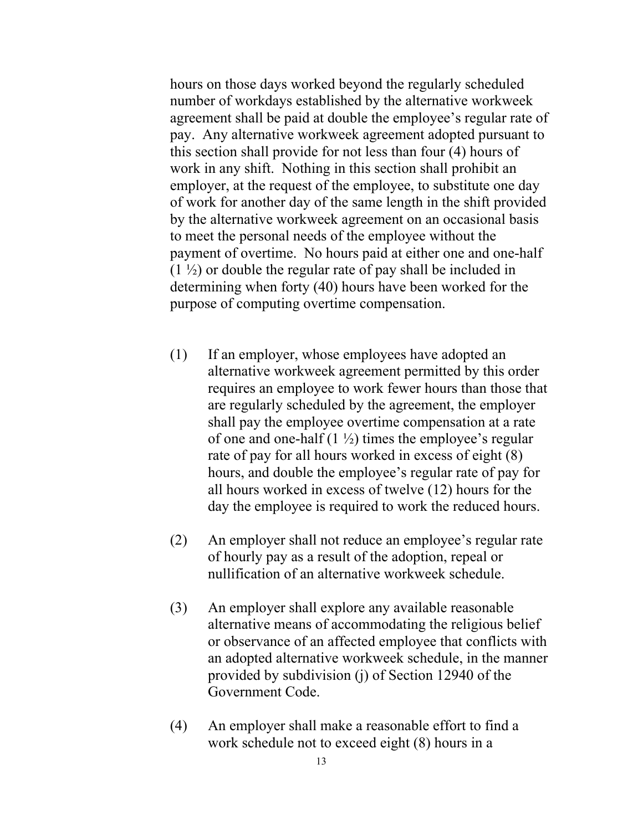hours on those days worked beyond the regularly scheduled number of workdays established by the alternative workweek agreement shall be paid at double the employee's regular rate of pay. Any alternative workweek agreement adopted pursuant to this section shall provide for not less than four (4) hours of work in any shift. Nothing in this section shall prohibit an employer, at the request of the employee, to substitute one day of work for another day of the same length in the shift provided by the alternative workweek agreement on an occasional basis to meet the personal needs of the employee without the payment of overtime. No hours paid at either one and one-half  $(1 \frac{1}{2})$  or double the regular rate of pay shall be included in determining when forty (40) hours have been worked for the purpose of computing overtime compensation.

- (1) If an employer, whose employees have adopted an alternative workweek agreement permitted by this order requires an employee to work fewer hours than those that are regularly scheduled by the agreement, the employer shall pay the employee overtime compensation at a rate of one and one-half  $(1 \frac{1}{2})$  times the employee's regular rate of pay for all hours worked in excess of eight (8) hours, and double the employee's regular rate of pay for all hours worked in excess of twelve (12) hours for the day the employee is required to work the reduced hours.
- (2) An employer shall not reduce an employee's regular rate of hourly pay as a result of the adoption, repeal or nullification of an alternative workweek schedule.
- (3) An employer shall explore any available reasonable alternative means of accommodating the religious belief or observance of an affected employee that conflicts with an adopted alternative workweek schedule, in the manner provided by subdivision (j) of Section 12940 of the Government Code.
- (4) An employer shall make a reasonable effort to find a work schedule not to exceed eight (8) hours in a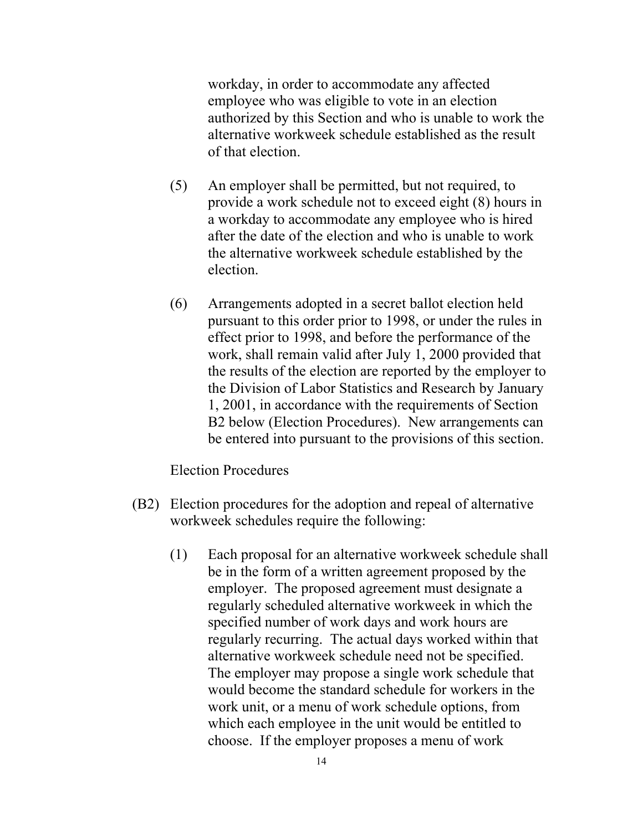workday, in order to accommodate any affected employee who was eligible to vote in an election authorized by this Section and who is unable to work the alternative workweek schedule established as the result of that election.

- (5) An employer shall be permitted, but not required, to provide a work schedule not to exceed eight (8) hours in a workday to accommodate any employee who is hired after the date of the election and who is unable to work the alternative workweek schedule established by the election.
- (6) Arrangements adopted in a secret ballot election held pursuant to this order prior to 1998, or under the rules in effect prior to 1998, and before the performance of the work, shall remain valid after July 1, 2000 provided that the results of the election are reported by the employer to the Division of Labor Statistics and Research by January 1, 2001, in accordance with the requirements of Section B2 below (Election Procedures). New arrangements can be entered into pursuant to the provisions of this section.

Election Procedures

- (B2) Election procedures for the adoption and repeal of alternative workweek schedules require the following:
	- (1) Each proposal for an alternative workweek schedule shall be in the form of a written agreement proposed by the employer. The proposed agreement must designate a regularly scheduled alternative workweek in which the specified number of work days and work hours are regularly recurring. The actual days worked within that alternative workweek schedule need not be specified. The employer may propose a single work schedule that would become the standard schedule for workers in the work unit, or a menu of work schedule options, from which each employee in the unit would be entitled to choose. If the employer proposes a menu of work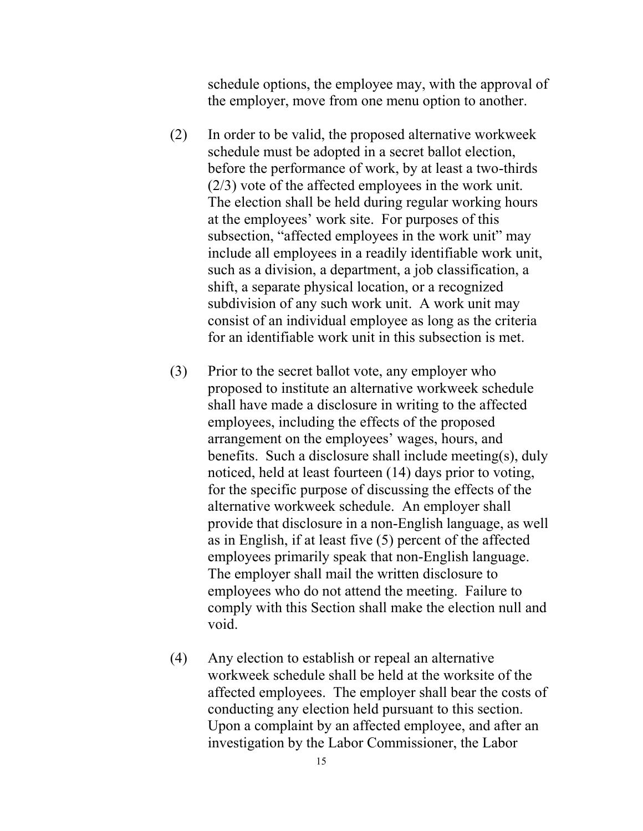schedule options, the employee may, with the approval of the employer, move from one menu option to another.

- $(2)$  In order to be valid, the proposed alternative workweek schedule must be adopted in a secret ballot election, before the performance of work, by at least a two-thirds (2/3) vote of the affected employees in the work unit. The election shall be held during regular working hours at the employees' work site. For purposes of this subsection, "affected employees in the work unit" may include all employees in a readily identifiable work unit, such as a division, a department, a job classification, a shift, a separate physical location, or a recognized subdivision of any such work unit. A work unit may consist of an individual employee as long as the criteria for an identifiable work unit in this subsection is met.
- (3) Prior to the secret ballot vote, any employer who proposed to institute an alternative workweek schedule shall have made a disclosure in writing to the affected employees, including the effects of the proposed arrangement on the employees' wages, hours, and benefits. Such a disclosure shall include meeting(s), duly noticed, held at least fourteen (14) days prior to voting, for the specific purpose of discussing the effects of the alternative workweek schedule. An employer shall provide that disclosure in a non-English language, as well as in English, if at least five (5) percent of the affected employees primarily speak that non-English language. The employer shall mail the written disclosure to employees who do not attend the meeting. Failure to comply with this Section shall make the election null and void.
- (4) Any election to establish or repeal an alternative workweek schedule shall be held at the worksite of the affected employees. The employer shall bear the costs of conducting any election held pursuant to this section. Upon a complaint by an affected employee, and after an investigation by the Labor Commissioner, the Labor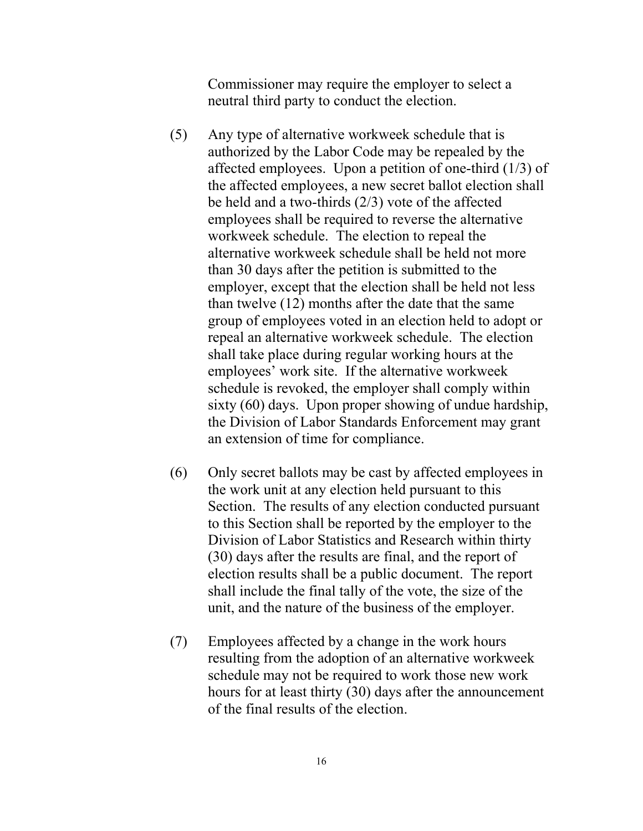Commissioner may require the employer to select a neutral third party to conduct the election.

- (5) Any type of alternative workweek schedule that is authorized by the Labor Code may be repealed by the affected employees. Upon a petition of one-third (1/3) of the affected employees, a new secret ballot election shall be held and a two-thirds (2/3) vote of the affected employees shall be required to reverse the alternative workweek schedule. The election to repeal the alternative workweek schedule shall be held not more than 30 days after the petition is submitted to the employer, except that the election shall be held not less than twelve (12) months after the date that the same group of employees voted in an election held to adopt or repeal an alternative workweek schedule. The election shall take place during regular working hours at the employees' work site. If the alternative workweek schedule is revoked, the employer shall comply within sixty (60) days. Upon proper showing of undue hardship, the Division of Labor Standards Enforcement may grant an extension of time for compliance.
- (6) Only secret ballots may be cast by affected employees in the work unit at any election held pursuant to this Section. The results of any election conducted pursuant to this Section shall be reported by the employer to the Division of Labor Statistics and Research within thirty (30) days after the results are final, and the report of election results shall be a public document. The report shall include the final tally of the vote, the size of the unit, and the nature of the business of the employer.
- (7) Employees affected by a change in the work hours resulting from the adoption of an alternative workweek schedule may not be required to work those new work hours for at least thirty (30) days after the announcement of the final results of the election.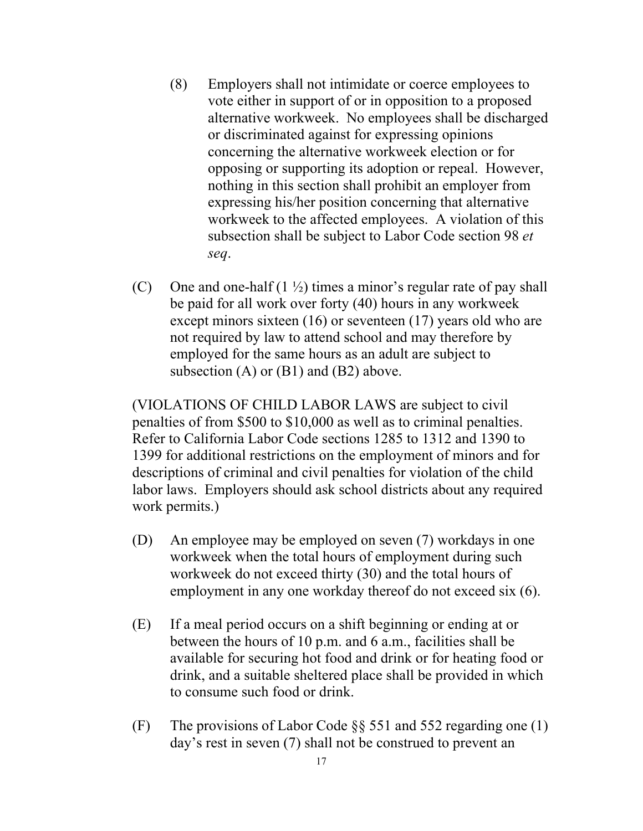- (8) Employers shall not intimidate or coerce employees to vote either in support of or in opposition to a proposed alternative workweek. No employees shall be discharged or discriminated against for expressing opinions concerning the alternative workweek election or for opposing or supporting its adoption or repeal. However, nothing in this section shall prohibit an employer from expressing his/her position concerning that alternative workweek to the affected employees. A violation of this subsection shall be subject to Labor Code section 98 *et seq*.
- (C) One and one-half  $(1 \frac{1}{2})$  times a minor's regular rate of pay shall be paid for all work over forty (40) hours in any workweek except minors sixteen (16) or seventeen (17) years old who are not required by law to attend school and may therefore by employed for the same hours as an adult are subject to subsection  $(A)$  or  $(B1)$  and  $(B2)$  above.

(VIOLATIONS OF CHILD LABOR LAWS are subject to civil penalties of from \$500 to \$10,000 as well as to criminal penalties. Refer to California Labor Code sections 1285 to 1312 and 1390 to 1399 for additional restrictions on the employment of minors and for descriptions of criminal and civil penalties for violation of the child labor laws. Employers should ask school districts about any required work permits.)

- (D) An employee may be employed on seven (7) workdays in one workweek when the total hours of employment during such workweek do not exceed thirty (30) and the total hours of employment in any one workday thereof do not exceed six (6).
- (E) If a meal period occurs on a shift beginning or ending at or between the hours of 10 p.m. and 6 a.m., facilities shall be available for securing hot food and drink or for heating food or drink, and a suitable sheltered place shall be provided in which to consume such food or drink.
- (F) The provisions of Labor Code  $\S$ § 551 and 552 regarding one (1) day's rest in seven (7) shall not be construed to prevent an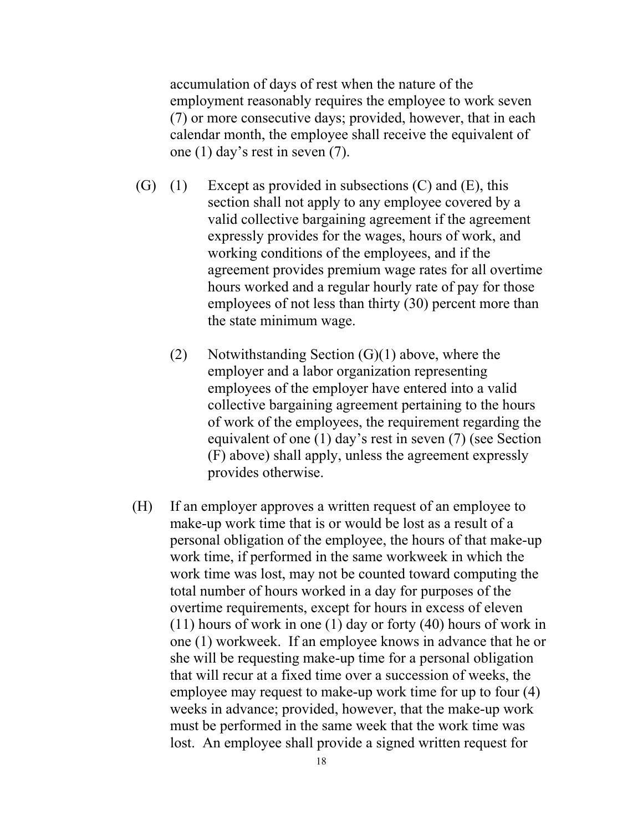accumulation of days of rest when the nature of the employment reasonably requires the employee to work seven (7) or more consecutive days; provided, however, that in each calendar month, the employee shall receive the equivalent of one (1) day's rest in seven (7).

- $(G)$  (1) Except as provided in subsections  $(C)$  and  $(E)$ , this section shall not apply to any employee covered by a valid collective bargaining agreement if the agreement expressly provides for the wages, hours of work, and working conditions of the employees, and if the agreement provides premium wage rates for all overtime hours worked and a regular hourly rate of pay for those employees of not less than thirty (30) percent more than the state minimum wage.
	- (2) Notwithstanding Section  $(G)(1)$  above, where the employer and a labor organization representing employees of the employer have entered into a valid collective bargaining agreement pertaining to the hours of work of the employees, the requirement regarding the equivalent of one (1) day's rest in seven (7) (see Section (F) above) shall apply, unless the agreement expressly provides otherwise.
- (H) If an employer approves a written request of an employee to make-up work time that is or would be lost as a result of a personal obligation of the employee, the hours of that make-up work time, if performed in the same workweek in which the work time was lost, may not be counted toward computing the total number of hours worked in a day for purposes of the overtime requirements, except for hours in excess of eleven (11) hours of work in one (1) day or forty (40) hours of work in one (1) workweek. If an employee knows in advance that he or she will be requesting make-up time for a personal obligation that will recur at a fixed time over a succession of weeks, the employee may request to make-up work time for up to four (4) weeks in advance; provided, however, that the make-up work must be performed in the same week that the work time was lost. An employee shall provide a signed written request for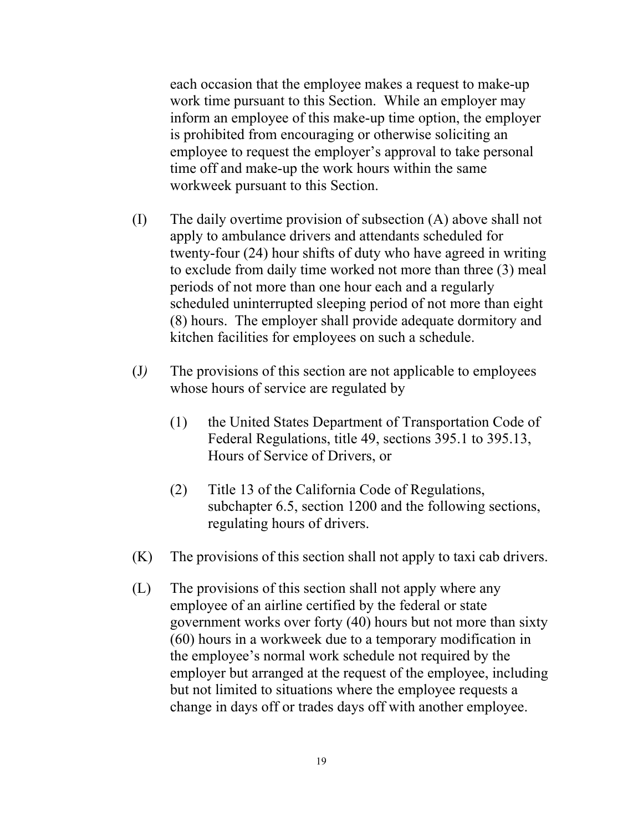each occasion that the employee makes a request to make-up work time pursuant to this Section. While an employer may inform an employee of this make-up time option, the employer is prohibited from encouraging or otherwise soliciting an employee to request the employer's approval to take personal time off and make-up the work hours within the same workweek pursuant to this Section.

- $(I)$  The daily overtime provision of subsection  $(A)$  above shall not apply to ambulance drivers and attendants scheduled for twenty-four (24) hour shifts of duty who have agreed in writing to exclude from daily time worked not more than three (3) meal periods of not more than one hour each and a regularly scheduled uninterrupted sleeping period of not more than eight (8) hours. The employer shall provide adequate dormitory and kitchen facilities for employees on such a schedule.
- (J*)* The provisions of this section are not applicable to employees whose hours of service are regulated by
	- (1) the United States Department of Transportation Code of Federal Regulations, title 49, sections 395.1 to 395.13, Hours of Service of Drivers, or
	- (2) Title 13 of the California Code of Regulations, subchapter 6.5, section 1200 and the following sections, regulating hours of drivers.
- $(K)$  The provisions of this section shall not apply to taxi cab drivers.
- (L) The provisions of this section shall not apply where any employee of an airline certified by the federal or state government works over forty (40) hours but not more than sixty (60) hours in a workweek due to a temporary modification in the employee's normal work schedule not required by the employer but arranged at the request of the employee, including but not limited to situations where the employee requests a change in days off or trades days off with another employee.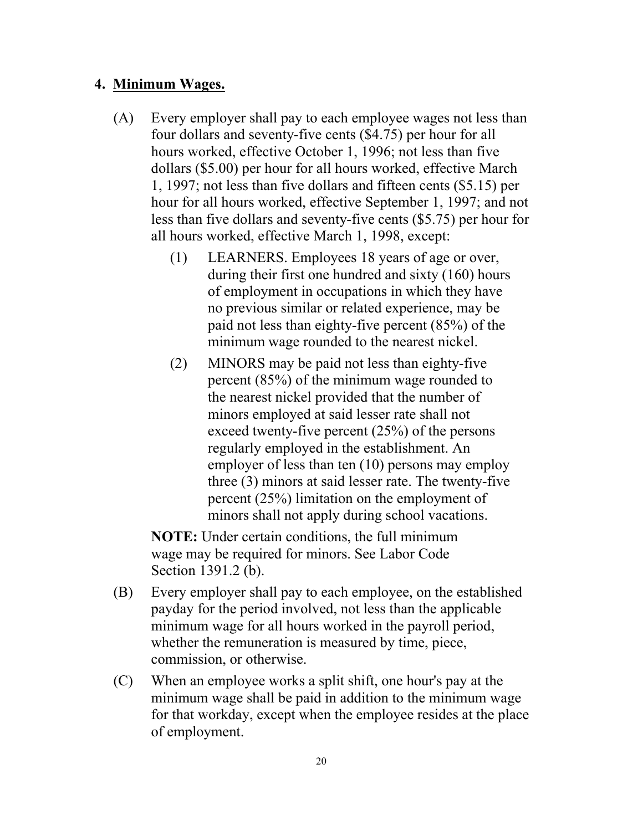#### **4. Minimum Wages.**

- (A) Every employer shall pay to each employee wages not less than four dollars and seventy-five cents (\$4.75) per hour for all hours worked, effective October 1, 1996; not less than five dollars (\$5.00) per hour for all hours worked, effective March 1, 1997; not less than five dollars and fifteen cents (\$5.15) per hour for all hours worked, effective September 1, 1997; and not less than five dollars and seventy-five cents (\$5.75) per hour for all hours worked, effective March 1, 1998, except:
	- (1) LEARNERS. Employees 18 years of age or over, during their first one hundred and sixty (160) hours of employment in occupations in which they have no previous similar or related experience, may be paid not less than eighty-five percent (85%) of the minimum wage rounded to the nearest nickel.
	- (2) MINORS may be paid not less than eighty-five percent (85%) of the minimum wage rounded to the nearest nickel provided that the number of minors employed at said lesser rate shall not exceed twenty-five percent (25%) of the persons regularly employed in the establishment. An employer of less than ten (10) persons may employ three (3) minors at said lesser rate. The twenty-five percent (25%) limitation on the employment of minors shall not apply during school vacations.

**NOTE:** Under certain conditions, the full minimum wage may be required for minors. See Labor Code Section 1391.2 (b).

- (B) Every employer shall pay to each employee, on the established payday for the period involved, not less than the applicable minimum wage for all hours worked in the payroll period, whether the remuneration is measured by time, piece, commission, or otherwise.
- (C) When an employee works a split shift, one hour's pay at the minimum wage shall be paid in addition to the minimum wage for that workday, except when the employee resides at the place of employment.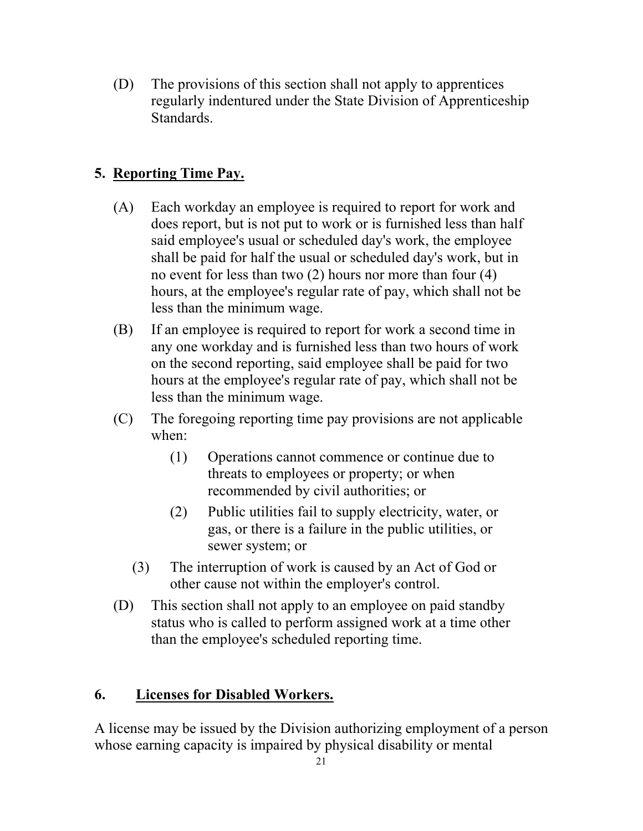(D) The provisions of this section shall not apply to apprentices regularly indentured under the State Division of Apprenticeship Standards.

# **5. Reporting Time Pay.**

- (A) Each workday an employee is required to report for work and does report, but is not put to work or is furnished less than half said employee's usual or scheduled day's work, the employee shall be paid for half the usual or scheduled day's work, but in no event for less than two (2) hours nor more than four (4) hours, at the employee's regular rate of pay, which shall not be less than the minimum wage.
- (B) If an employee is required to report for work a second time in any one workday and is furnished less than two hours of work on the second reporting, said employee shall be paid for two hours at the employee's regular rate of pay, which shall not be less than the minimum wage.
- (C) The foregoing reporting time pay provisions are not applicable when:
	- (1) Operations cannot commence or continue due to threats to employees or property; or when recommended by civil authorities; or
	- (2) Public utilities fail to supply electricity, water, or gas, or there is a failure in the public utilities, or sewer system; or
	- (3) The interruption of work is caused by an Act of God or other cause not within the employer's control.
- (D) This section shall not apply to an employee on paid standby status who is called to perform assigned work at a time other than the employee's scheduled reporting time.

# **6. Licenses for Disabled Workers.**

A license may be issued by the Division authorizing employment of a person whose earning capacity is impaired by physical disability or mental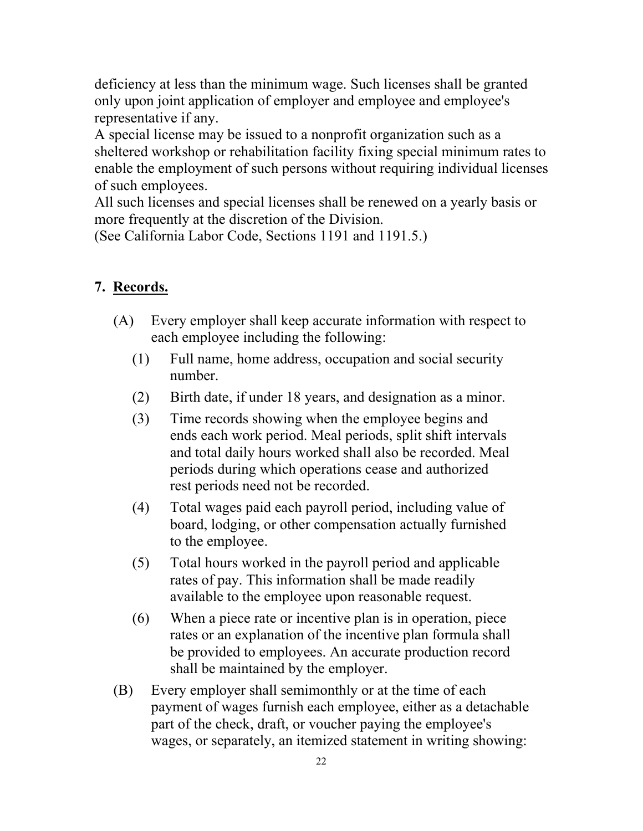deficiency at less than the minimum wage. Such licenses shall be granted only upon joint application of employer and employee and employee's representative if any.

A special license may be issued to a nonprofit organization such as a sheltered workshop or rehabilitation facility fixing special minimum rates to enable the employment of such persons without requiring individual licenses of such employees.

All such licenses and special licenses shall be renewed on a yearly basis or more frequently at the discretion of the Division.

(See California Labor Code, Sections 1191 and 1191.5.)

# **7. Records.**

- (A) Every employer shall keep accurate information with respect to each employee including the following:
	- (1) Full name, home address, occupation and social security number.
	- $(2)$ Birth date, if under 18 years, and designation as a minor.
	- (3) Time records showing when the employee begins and ends each work period. Meal periods, split shift intervals and total daily hours worked shall also be recorded. Meal periods during which operations cease and authorized rest periods need not be recorded.
	- (4) Total wages paid each payroll period, including value of board, lodging, or other compensation actually furnished to the employee.
	- (5) Total hours worked in the payroll period and applicable rates of pay. This information shall be made readily available to the employee upon reasonable request.
	- $(6)$  When a piece rate or incentive plan is in operation, piece rates or an explanation of the incentive plan formula shall be provided to employees. An accurate production record shall be maintained by the employer.
- (B) Every employer shall semimonthly or at the time of each payment of wages furnish each employee, either as a detachable part of the check, draft, or voucher paying the employee's wages, or separately, an itemized statement in writing showing: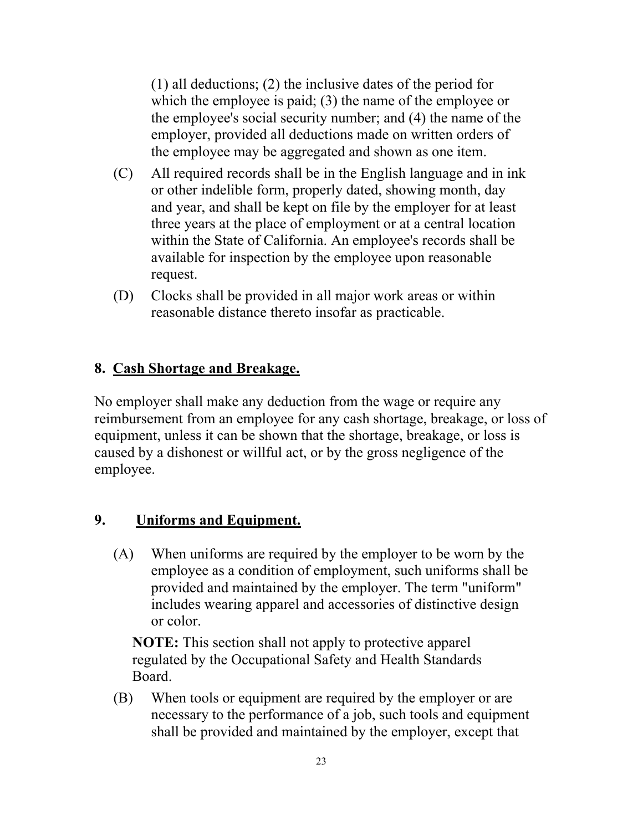(1) all deductions; (2) the inclusive dates of the period for which the employee is paid; (3) the name of the employee or the employee's social security number; and (4) the name of the employer, provided all deductions made on written orders of the employee may be aggregated and shown as one item.

- $(C)$ All required records shall be in the English language and in ink or other indelible form, properly dated, showing month, day and year, and shall be kept on file by the employer for at least three years at the place of employment or at a central location within the State of California. An employee's records shall be available for inspection by the employee upon reasonable request.
- (D) Clocks shall be provided in all major work areas or within reasonable distance thereto insofar as practicable.

## **8. Cash Shortage and Breakage.**

No employer shall make any deduction from the wage or require any reimbursement from an employee for any cash shortage, breakage, or loss of equipment, unless it can be shown that the shortage, breakage, or loss is caused by a dishonest or willful act, or by the gross negligence of the employee.

#### **9. Uniforms and Equipment.**

(A) When uniforms are required by the employer to be worn by the employee as a condition of employment, such uniforms shall be provided and maintained by the employer. The term "uniform" includes wearing apparel and accessories of distinctive design or color.

**NOTE:** This section shall not apply to protective apparel regulated by the Occupational Safety and Health Standards Board.

(B) When tools or equipment are required by the employer or are necessary to the performance of a job, such tools and equipment shall be provided and maintained by the employer, except that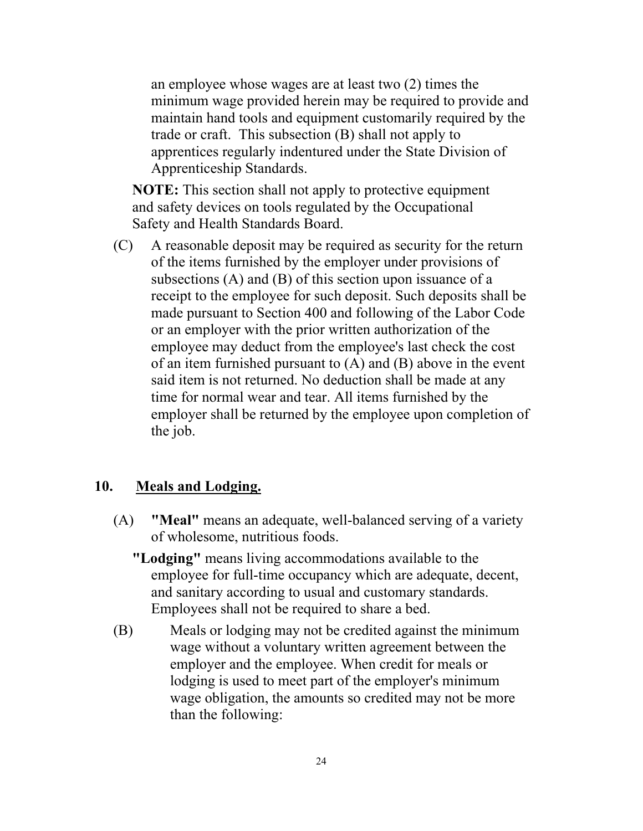an employee whose wages are at least two (2) times the minimum wage provided herein may be required to provide and maintain hand tools and equipment customarily required by the trade or craft. This subsection (B) shall not apply to apprentices regularly indentured under the State Division of Apprenticeship Standards.

**NOTE:** This section shall not apply to protective equipment and safety devices on tools regulated by the Occupational Safety and Health Standards Board.

(C) A reasonable deposit may be required as security for the return of the items furnished by the employer under provisions of subsections (A) and (B) of this section upon issuance of a receipt to the employee for such deposit. Such deposits shall be made pursuant to Section 400 and following of the Labor Code or an employer with the prior written authorization of the employee may deduct from the employee's last check the cost of an item furnished pursuant to (A) and (B) above in the event said item is not returned. No deduction shall be made at any time for normal wear and tear. All items furnished by the employer shall be returned by the employee upon completion of the job.

#### **10. Meals and Lodging.**

- (A) **"Meal"** means an adequate, well-balanced serving of a variety of wholesome, nutritious foods.
	- **"Lodging"** means living accommodations available to the employee for full-time occupancy which are adequate, decent, and sanitary according to usual and customary standards. Employees shall not be required to share a bed.
- (B) Meals or lodging may not be credited against the minimum wage without a voluntary written agreement between the employer and the employee. When credit for meals or lodging is used to meet part of the employer's minimum wage obligation, the amounts so credited may not be more than the following: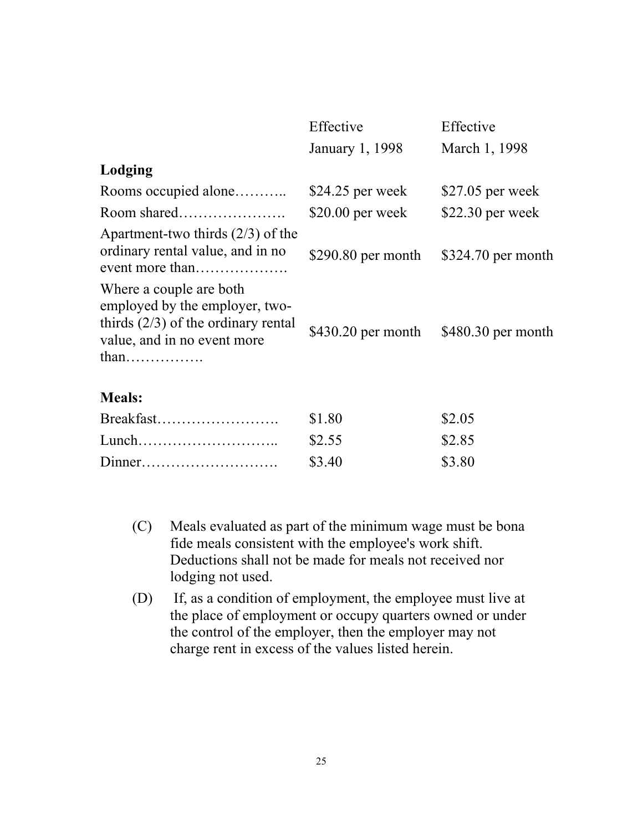|                                                                                                                                                                           | Effective           | Effective           |
|---------------------------------------------------------------------------------------------------------------------------------------------------------------------------|---------------------|---------------------|
|                                                                                                                                                                           | January 1, 1998     | March 1, 1998       |
| Lodging                                                                                                                                                                   |                     |                     |
| Rooms occupied alone                                                                                                                                                      | \$24.25 per week    | $$27.05$ per week   |
| Room shared                                                                                                                                                               | $$20.00$ per week   | \$22.30 per week    |
| Apartment-two thirds $(2/3)$ of the<br>ordinary rental value, and in no<br>event more than                                                                                | $$290.80$ per month | $$324.70$ per month |
| Where a couple are both<br>employed by the employer, two-<br>thirds $(2/3)$ of the ordinary rental<br>value, and in no event more<br>$than \dots \dots \dots \dots \dots$ | $$430.20$ per month | $$480.30$ per month |
| <b>Meals:</b>                                                                                                                                                             |                     |                     |
| Breakfast                                                                                                                                                                 | \$1.80              | \$2.05              |

|       | wi.vv  | ພ∠.ບ⊃  |
|-------|--------|--------|
| Lunch | \$2.55 | \$2.85 |
|       | \$3.40 | \$3.80 |

- (C) Meals evaluated as part of the minimum wage must be bona fide meals consistent with the employee's work shift. Deductions shall not be made for meals not received nor lodging not used.
- (D) If, as a condition of employment, the employee must live at the place of employment or occupy quarters owned or under the control of the employer, then the employer may not charge rent in excess of the values listed herein.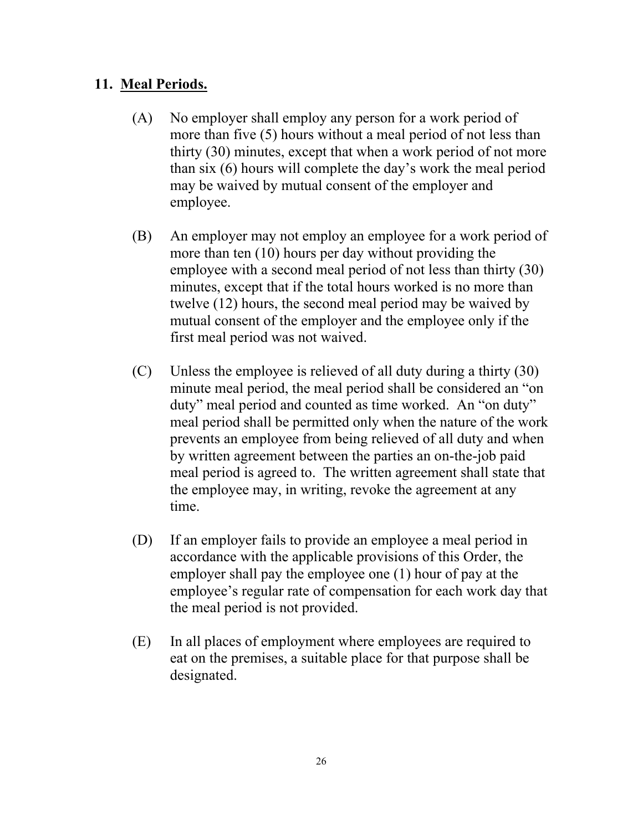#### **11. Meal Periods.**

- (A) No employer shall employ any person for a work period of more than five (5) hours without a meal period of not less than thirty (30) minutes, except that when a work period of not more than six (6) hours will complete the day's work the meal period may be waived by mutual consent of the employer and employee.
- (B) An employer may not employ an employee for a work period of more than ten (10) hours per day without providing the employee with a second meal period of not less than thirty (30) minutes, except that if the total hours worked is no more than twelve (12) hours, the second meal period may be waived by mutual consent of the employer and the employee only if the first meal period was not waived.
- $(C)$  Unless the employee is relieved of all duty during a thirty (30) minute meal period, the meal period shall be considered an "on duty" meal period and counted as time worked. An "on duty" meal period shall be permitted only when the nature of the work prevents an employee from being relieved of all duty and when by written agreement between the parties an on-the-job paid meal period is agreed to. The written agreement shall state that the employee may, in writing, revoke the agreement at any time.
- (D) If an employer fails to provide an employee a meal period in accordance with the applicable provisions of this Order, the employer shall pay the employee one (1) hour of pay at the employee's regular rate of compensation for each work day that the meal period is not provided.
- (E) In all places of employment where employees are required to eat on the premises, a suitable place for that purpose shall be designated.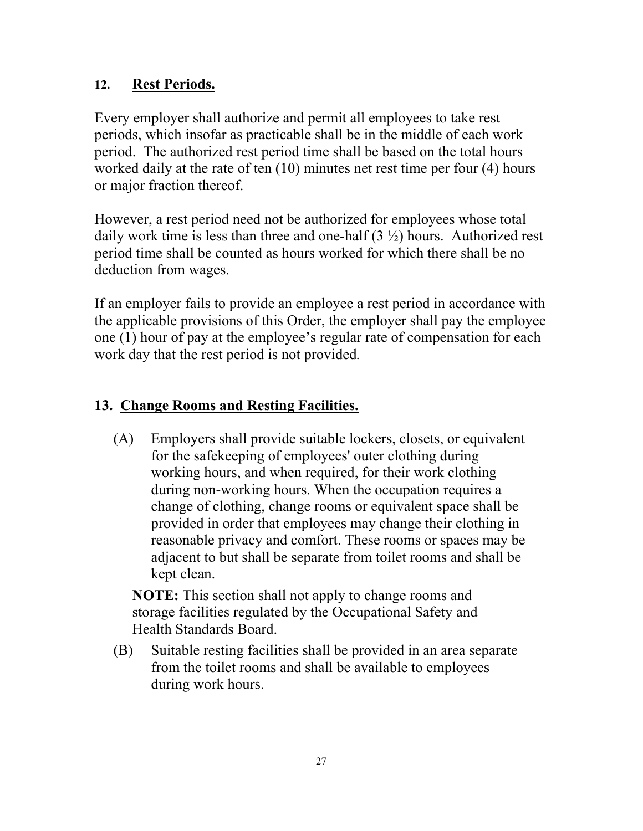## **12. Rest Periods.**

Every employer shall authorize and permit all employees to take rest periods, which insofar as practicable shall be in the middle of each work period. The authorized rest period time shall be based on the total hours worked daily at the rate of ten (10) minutes net rest time per four (4) hours or major fraction thereof.

However, a rest period need not be authorized for employees whose total daily work time is less than three and one-half  $(3 \frac{1}{2})$  hours. Authorized rest period time shall be counted as hours worked for which there shall be no deduction from wages.

If an employer fails to provide an employee a rest period in accordance with the applicable provisions of this Order, the employer shall pay the employee one (1) hour of pay at the employee's regular rate of compensation for each work day that the rest period is not provided*.* 

## **13. Change Rooms and Resting Facilities.**

(A) Employers shall provide suitable lockers, closets, or equivalent for the safekeeping of employees' outer clothing during working hours, and when required, for their work clothing during non-working hours. When the occupation requires a change of clothing, change rooms or equivalent space shall be provided in order that employees may change their clothing in reasonable privacy and comfort. These rooms or spaces may be adjacent to but shall be separate from toilet rooms and shall be kept clean.

**NOTE:** This section shall not apply to change rooms and storage facilities regulated by the Occupational Safety and Health Standards Board.

(B) Suitable resting facilities shall be provided in an area separate from the toilet rooms and shall be available to employees during work hours.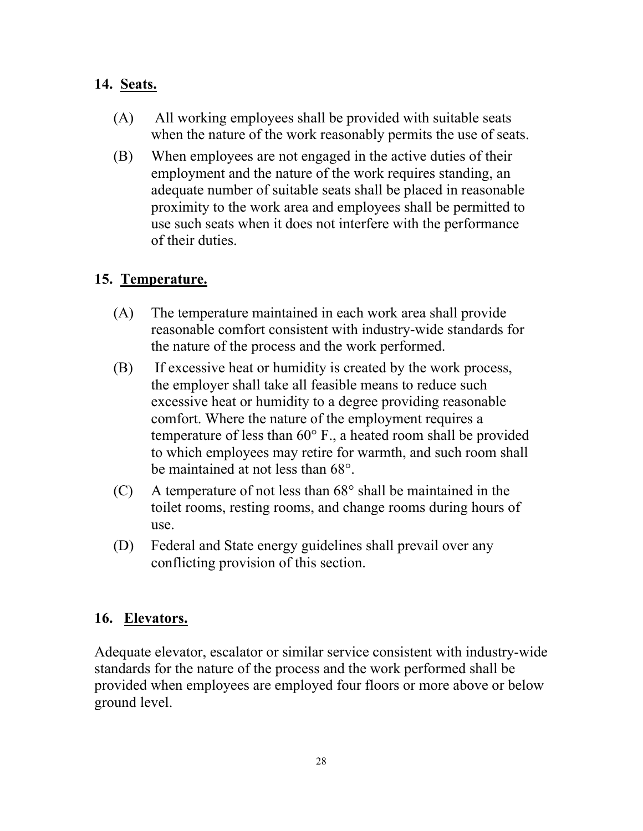## **14. Seats.**

- (A) All working employees shall be provided with suitable seats when the nature of the work reasonably permits the use of seats.
- (B) When employees are not engaged in the active duties of their employment and the nature of the work requires standing, an adequate number of suitable seats shall be placed in reasonable proximity to the work area and employees shall be permitted to use such seats when it does not interfere with the performance of their duties.

#### **15. Temperature.**

- (A) The temperature maintained in each work area shall provide reasonable comfort consistent with industry-wide standards for the nature of the process and the work performed.
- (B) If excessive heat or humidity is created by the work process, the employer shall take all feasible means to reduce such excessive heat or humidity to a degree providing reasonable comfort. Where the nature of the employment requires a temperature of less than 60° F., a heated room shall be provided to which employees may retire for warmth, and such room shall be maintained at not less than 68°.
- $(C)$  A temperature of not less than  $68^{\circ}$  shall be maintained in the toilet rooms, resting rooms, and change rooms during hours of use.
- (D) Federal and State energy guidelines shall prevail over any conflicting provision of this section.

## **16. Elevators.**

Adequate elevator, escalator or similar service consistent with industry-wide standards for the nature of the process and the work performed shall be provided when employees are employed four floors or more above or below ground level.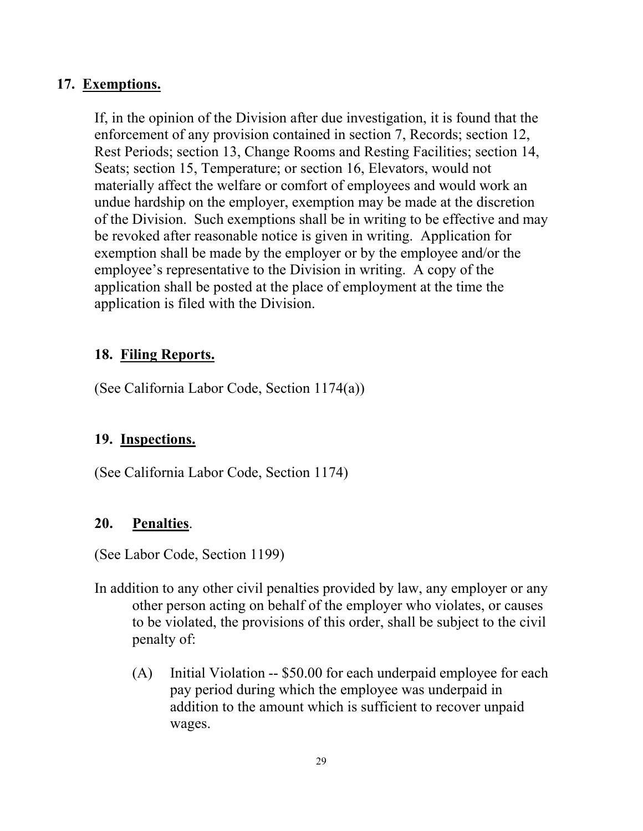#### **17. Exemptions.**

If, in the opinion of the Division after due investigation, it is found that the enforcement of any provision contained in section 7, Records; section 12, Rest Periods; section 13, Change Rooms and Resting Facilities; section 14, Seats; section 15, Temperature; or section 16, Elevators, would not materially affect the welfare or comfort of employees and would work an undue hardship on the employer, exemption may be made at the discretion of the Division. Such exemptions shall be in writing to be effective and may be revoked after reasonable notice is given in writing. Application for exemption shall be made by the employer or by the employee and/or the employee's representative to the Division in writing. A copy of the application shall be posted at the place of employment at the time the application is filed with the Division.

#### **18. Filing Reports.**

(See California Labor Code, Section 1174(a))

## **19. Inspections.**

(See California Labor Code, Section 1174)

## **20. Penalties**.

(See Labor Code, Section 1199)

- In addition to any other civil penalties provided by law, any employer or any other person acting on behalf of the employer who violates, or causes to be violated, the provisions of this order, shall be subject to the civil penalty of:
	- $(A)$  Initial Violation -- \$50.00 for each underpaid employee for each pay period during which the employee was underpaid in addition to the amount which is sufficient to recover unpaid wages.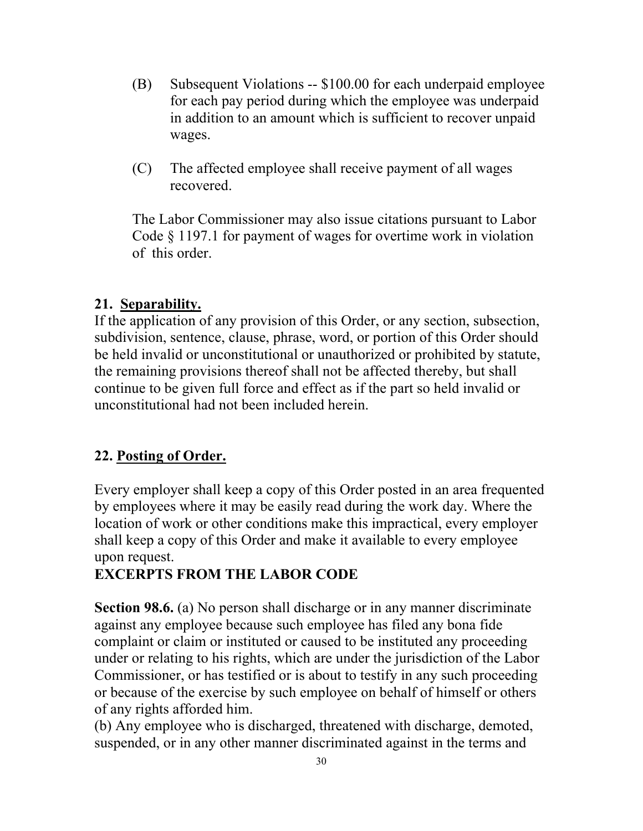- (B) Subsequent Violations -- \$100.00 for each underpaid employee for each pay period during which the employee was underpaid in addition to an amount which is sufficient to recover unpaid wages.
- (C) The affected employee shall receive payment of all wages recovered.

The Labor Commissioner may also issue citations pursuant to Labor Code § 1197.1 for payment of wages for overtime work in violation of this order.

#### **21. Separability.**

If the application of any provision of this Order, or any section, subsection, subdivision, sentence, clause, phrase, word, or portion of this Order should be held invalid or unconstitutional or unauthorized or prohibited by statute, the remaining provisions thereof shall not be affected thereby, but shall continue to be given full force and effect as if the part so held invalid or unconstitutional had not been included herein.

#### **22. Posting of Order.**

Every employer shall keep a copy of this Order posted in an area frequented by employees where it may be easily read during the work day. Where the location of work or other conditions make this impractical, every employer shall keep a copy of this Order and make it available to every employee upon request.

## **EXCERPTS FROM THE LABOR CODE**

**Section 98.6.** (a) No person shall discharge or in any manner discriminate against any employee because such employee has filed any bona fide complaint or claim or instituted or caused to be instituted any proceeding under or relating to his rights, which are under the jurisdiction of the Labor Commissioner, or has testified or is about to testify in any such proceeding or because of the exercise by such employee on behalf of himself or others of any rights afforded him.

(b) Any employee who is discharged, threatened with discharge, demoted, suspended, or in any other manner discriminated against in the terms and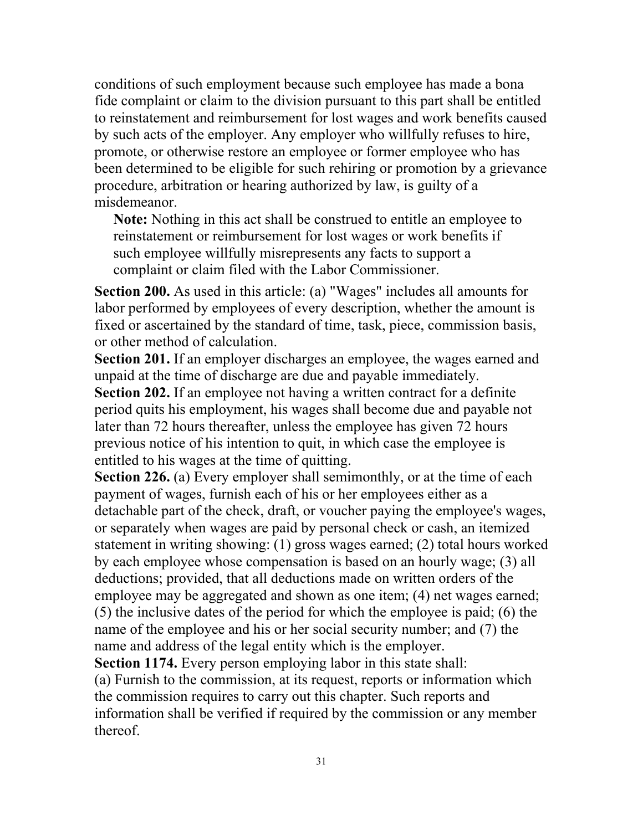conditions of such employment because such employee has made a bona fide complaint or claim to the division pursuant to this part shall be entitled to reinstatement and reimbursement for lost wages and work benefits caused by such acts of the employer. Any employer who willfully refuses to hire, promote, or otherwise restore an employee or former employee who has been determined to be eligible for such rehiring or promotion by a grievance procedure, arbitration or hearing authorized by law, is guilty of a misdemeanor.

**Note:** Nothing in this act shall be construed to entitle an employee to reinstatement or reimbursement for lost wages or work benefits if such employee willfully misrepresents any facts to support a complaint or claim filed with the Labor Commissioner.

**Section 200.** As used in this article: (a) "Wages" includes all amounts for labor performed by employees of every description, whether the amount is fixed or ascertained by the standard of time, task, piece, commission basis, or other method of calculation.

**Section 201.** If an employer discharges an employee, the wages earned and unpaid at the time of discharge are due and payable immediately.

**Section 202.** If an employee not having a written contract for a definite period quits his employment, his wages shall become due and payable not later than 72 hours thereafter, unless the employee has given 72 hours previous notice of his intention to quit, in which case the employee is entitled to his wages at the time of quitting.

**Section 226.** (a) Every employer shall semimonthly, or at the time of each payment of wages, furnish each of his or her employees either as a detachable part of the check, draft, or voucher paying the employee's wages, or separately when wages are paid by personal check or cash, an itemized statement in writing showing: (1) gross wages earned; (2) total hours worked by each employee whose compensation is based on an hourly wage; (3) all deductions; provided, that all deductions made on written orders of the employee may be aggregated and shown as one item; (4) net wages earned; (5) the inclusive dates of the period for which the employee is paid; (6) the name of the employee and his or her social security number; and (7) the name and address of the legal entity which is the employer.

**Section 1174.** Every person employing labor in this state shall:

(a) Furnish to the commission, at its request, reports or information which the commission requires to carry out this chapter. Such reports and information shall be verified if required by the commission or any member thereof.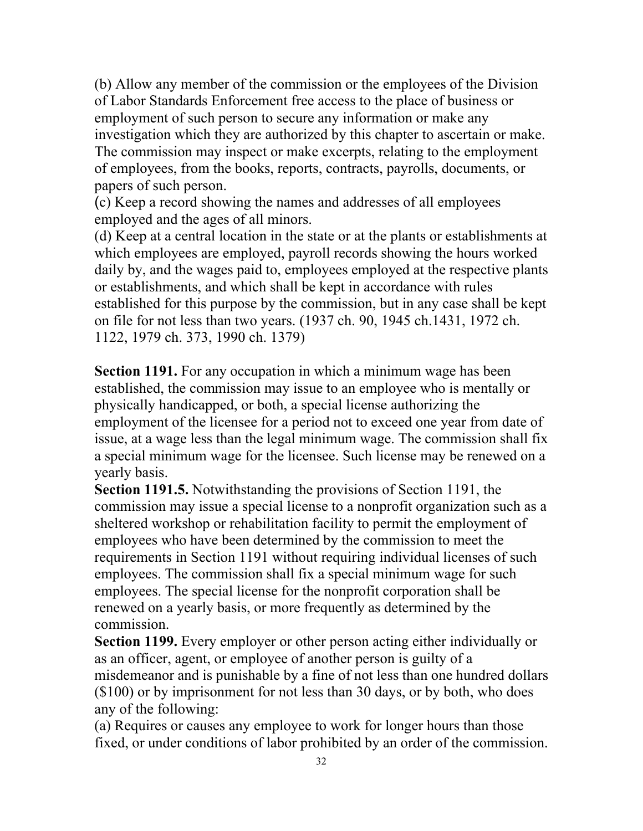(b) Allow any member of the commission or the employees of the Division of Labor Standards Enforcement free access to the place of business or employment of such person to secure any information or make any investigation which they are authorized by this chapter to ascertain or make. The commission may inspect or make excerpts, relating to the employment of employees, from the books, reports, contracts, payrolls, documents, or papers of such person.

(c) Keep a record showing the names and addresses of all employees employed and the ages of all minors.

(d) Keep at a central location in the state or at the plants or establishments at which employees are employed, payroll records showing the hours worked daily by, and the wages paid to, employees employed at the respective plants or establishments, and which shall be kept in accordance with rules established for this purpose by the commission, but in any case shall be kept on file for not less than two years. (1937 ch. 90, 1945 ch.1431, 1972 ch. 1122, 1979 ch. 373, 1990 ch. 1379)

**Section 1191.** For any occupation in which a minimum wage has been established, the commission may issue to an employee who is mentally or physically handicapped, or both, a special license authorizing the employment of the licensee for a period not to exceed one year from date of issue, at a wage less than the legal minimum wage. The commission shall fix a special minimum wage for the licensee. Such license may be renewed on a yearly basis.

**Section 1191.5.** Notwithstanding the provisions of Section 1191, the commission may issue a special license to a nonprofit organization such as a sheltered workshop or rehabilitation facility to permit the employment of employees who have been determined by the commission to meet the requirements in Section 1191 without requiring individual licenses of such employees. The commission shall fix a special minimum wage for such employees. The special license for the nonprofit corporation shall be renewed on a yearly basis, or more frequently as determined by the commission.

**Section 1199.** Every employer or other person acting either individually or as an officer, agent, or employee of another person is guilty of a misdemeanor and is punishable by a fine of not less than one hundred dollars (\$100) or by imprisonment for not less than 30 days, or by both, who does any of the following:

(a) Requires or causes any employee to work for longer hours than those fixed, or under conditions of labor prohibited by an order of the commission.